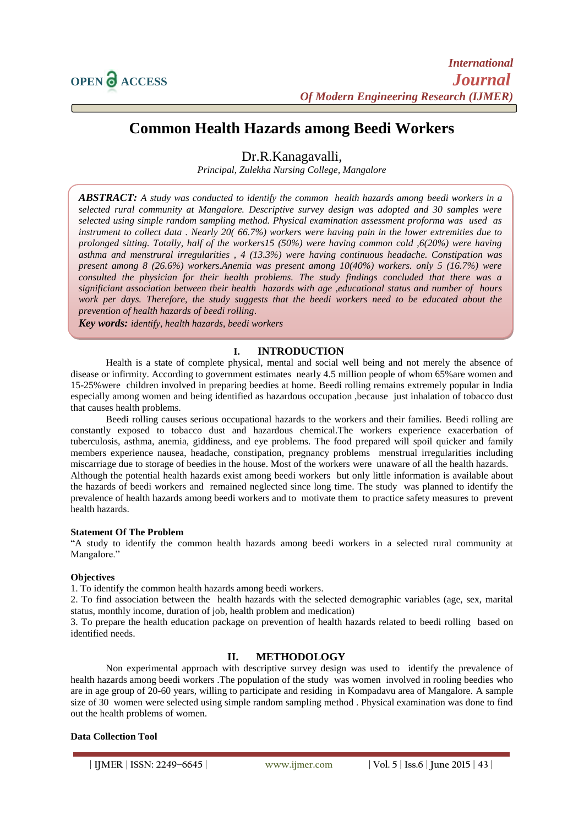

# **Common Health Hazards among Beedi Workers**

Dr.R.Kanagavalli,

*Principal, Zulekha Nursing College, Mangalore*

*ABSTRACT: A study was conducted to identify the common health hazards among beedi workers in a selected rural community at Mangalore. Descriptive survey design was adopted and 30 samples were selected using simple random sampling method. Physical examination assessment proforma was used as instrument to collect data . Nearly 20( 66.7%) workers were having pain in the lower extremities due to prolonged sitting. Totally, half of the workers15 (50%) were having common cold ,6(20%) were having asthma and menstrural irregularities , 4 (13.3%) were having continuous headache. Constipation was present among 8 (26.6%) workers.Anemia was present among 10(40%) workers. only 5 (16.7%) were consulted the physician for their health problems. The study findings concluded that there was a significiant association between their health hazards with age ,educational status and number of hours work per days. Therefore, the study suggests that the beedi workers need to be educated about the prevention of health hazards of beedi rolling*.

*Key words: identify, health hazards, beedi workers*

# **I. INTRODUCTION**

Health is a state of complete physical, mental and social well being and not merely the absence of disease or infirmity. According to government estimates nearly 4.5 million people of whom 65%are women and 15-25%were children involved in preparing beedies at home. Beedi rolling remains extremely popular in India especially among women and being identified as hazardous occupation ,because just inhalation of tobacco dust that causes health problems.

Beedi rolling causes serious occupational hazards to the workers and their families. Beedi rolling are constantly exposed to tobacco dust and hazardous chemical.The workers experience exacerbation of tuberculosis, asthma, anemia, giddiness, and eye problems. The food prepared will spoil quicker and family members experience nausea, headache, constipation, pregnancy problems menstrual irregularities including miscarriage due to storage of beedies in the house. Most of the workers were unaware of all the health hazards. Although the potential health hazards exist among beedi workers but only little information is available about the hazards of beedi workers and remained neglected since long time. The study was planned to identify the prevalence of health hazards among beedi workers and to motivate them to practice safety measures to prevent health hazards.

#### **Statement Of The Problem**

"A study to identify the common health hazards among beedi workers in a selected rural community at Mangalore."

### **Objectives**

1. To identify the common health hazards among beedi workers.

2. To find association between the health hazards with the selected demographic variables (age, sex, marital status, monthly income, duration of job, health problem and medication)

3. To prepare the health education package on prevention of health hazards related to beedi rolling based on identified needs.

### **II. METHODOLOGY**

Non experimental approach with descriptive survey design was used to identify the prevalence of health hazards among beedi workers .The population of the study was women involved in rooling beedies who are in age group of 20-60 years, willing to participate and residing in Kompadavu area of Mangalore. A sample size of 30 women were selected using simple random sampling method . Physical examination was done to find out the health problems of women.

#### **Data Collection Tool**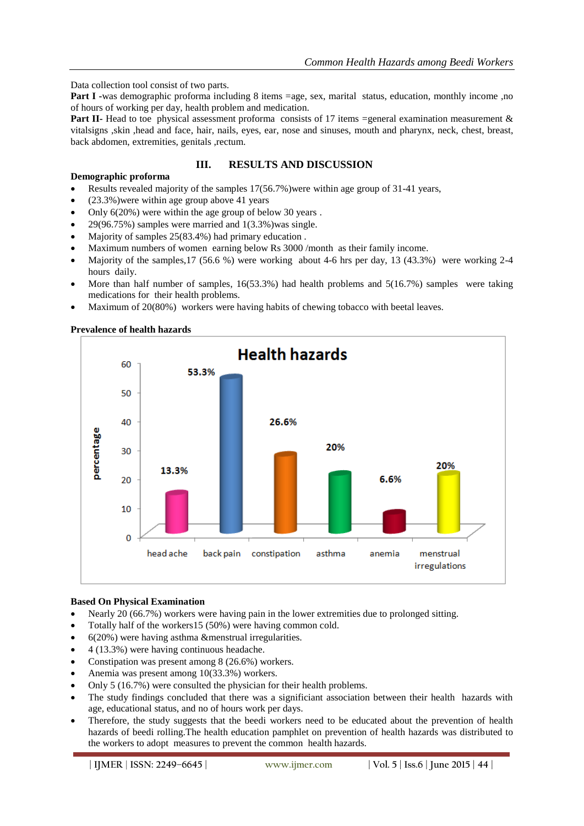Data collection tool consist of two parts.

**Part I** -was demographic proforma including 8 items =age, sex, marital status, education, monthly income ,no of hours of working per day, health problem and medication.

**Part II-** Head to toe physical assessment proforma consists of 17 items =general examination measurement & vitalsigns ,skin ,head and face, hair, nails, eyes, ear, nose and sinuses, mouth and pharynx, neck, chest, breast, back abdomen, extremities, genitals ,rectum.

# **III. RESULTS AND DISCUSSION**

# **Demographic proforma**

- Results revealed majority of the samples 17(56.7%)were within age group of 31-41 years,
- (23.3%)were within age group above 41 years
- Only 6(20%) were within the age group of below 30 years .
- 29(96.75%) samples were married and 1(3.3%)was single.
- Majority of samples 25(83.4%) had primary education .
- Maximum numbers of women earning below Rs 3000 /month as their family income.
- Majority of the samples,17 (56.6 %) were working about 4-6 hrs per day, 13 (43.3%) were working 2-4 hours daily.
- More than half number of samples, 16(53.3%) had health problems and 5(16.7%) samples were taking medications for their health problems.
- Maximum of 20(80%) workers were having habits of chewing tobacco with beetal leaves.

### **Prevalence of health hazards**



### **Based On Physical Examination**

- Nearly 20 (66.7%) workers were having pain in the lower extremities due to prolonged sitting.
- Totally half of the workers15 (50%) were having common cold.
- 6(20%) were having asthma &menstrual irregularities.
- 4 (13.3%) were having continuous headache.
- Constipation was present among 8 (26.6%) workers.
- Anemia was present among 10(33.3%) workers.
- Only 5 (16.7%) were consulted the physician for their health problems.
- The study findings concluded that there was a significiant association between their health hazards with age, educational status, and no of hours work per days.
- Therefore, the study suggests that the beedi workers need to be educated about the prevention of health hazards of beedi rolling.The health education pamphlet on prevention of health hazards was distributed to the workers to adopt measures to prevent the common health hazards.